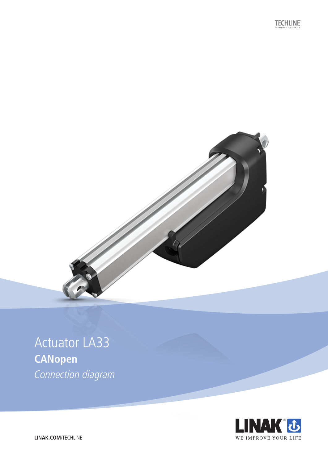**TECHLINE** 



## **Actuator LA33 CANopen** Connection diagram



LINAK.COM/TECHLINE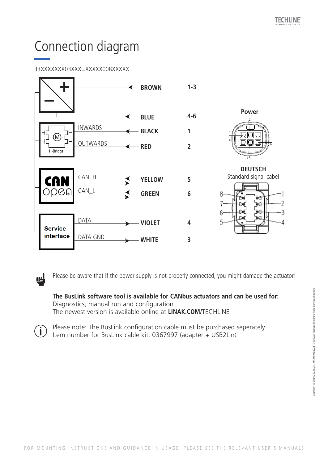# Connection diagram

### 33XXXXXXX03XXX=XXXXX008XXXXX

<u>nd</u>

 $\mathbf{i}$ 



Please be aware that if the power supply is not properly connected, you might damage the actuator!

#### **The BusLink software tool is available for CANbus actuators and can be used for:** Diagnostics, manual run and configuration The newest version is available online at **LINAK.COM/**TECHLINE

Please note: The BusLink configuration cable must be purchased seperately Item number for BusLink cable kit: 0367997 (adapter + USB2Lin)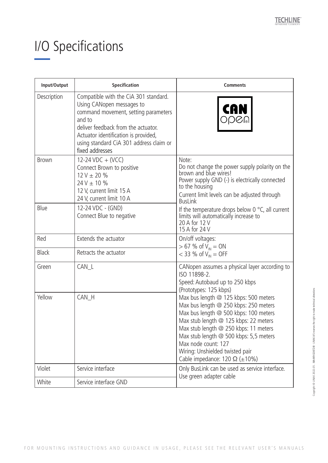# I/O Specifications

| Input/Output | Specification                                                                                                                                                                                                                                                     | <b>Comments</b>                                                                                                                                                                                                                                                                                                                                                                                                                                                                    |
|--------------|-------------------------------------------------------------------------------------------------------------------------------------------------------------------------------------------------------------------------------------------------------------------|------------------------------------------------------------------------------------------------------------------------------------------------------------------------------------------------------------------------------------------------------------------------------------------------------------------------------------------------------------------------------------------------------------------------------------------------------------------------------------|
| Description  | Compatible with the CiA 301 standard.<br>Using CANopen messages to<br>command movement, setting parameters<br>and to<br>deliver feedback from the actuator.<br>Actuator identification is provided,<br>using standard CiA 301 address claim or<br>fixed addresses | <b>CAN</b><br><b>ODB</b>                                                                                                                                                                                                                                                                                                                                                                                                                                                           |
| Brown        | 12-24 VDC + (VCC)<br>Connect Brown to positive<br>$12 V \pm 20 \%$<br>$24V \pm 10 \%$<br>12 V, current limit 15 A<br>24 V, current limit 10 A                                                                                                                     | Note:<br>Do not change the power supply polarity on the<br>brown and blue wires!<br>Power supply GND (-) is electrically connected<br>to the housing<br>Current limit levels can be adjusted through<br><b>BusLink</b><br>If the temperature drops below 0 $\degree$ C, all current<br>limits will automatically increase to<br>20 A for 12 V<br>15 A for 24 V                                                                                                                     |
| Blue         | 12-24 VDC - (GND)<br>Connect Blue to negative                                                                                                                                                                                                                     |                                                                                                                                                                                                                                                                                                                                                                                                                                                                                    |
| Red          | Extends the actuator                                                                                                                                                                                                                                              | On/off voltages:<br>$> 67$ % of V <sub>IN</sub> = ON<br>$<$ 33 % of V <sub>IN</sub> = OFF                                                                                                                                                                                                                                                                                                                                                                                          |
| <b>Black</b> | Retracts the actuator                                                                                                                                                                                                                                             |                                                                                                                                                                                                                                                                                                                                                                                                                                                                                    |
| Green        | CAN_L                                                                                                                                                                                                                                                             | CANopen assumes a physical layer according to<br>ISO 11898-2.<br>Speed: Autobaud up to 250 kbps<br>(Prototypes: 125 kbps)<br>Max bus length @ 125 kbps: 500 meters<br>Max bus length @ 250 kbps: 250 meters<br>Max bus length @ 500 kbps: 100 meters<br>Max stub length @ 125 kbps: 22 meters<br>Max stub length @ 250 kbps: 11 meters<br>Max stub length @ 500 kbps: 5,5 meters<br>Max node count: 127<br>Wiring: Unshielded twisted pair<br>Cable impedance: 120 $\Omega$ (±10%) |
| Yellow       | CAN_H                                                                                                                                                                                                                                                             |                                                                                                                                                                                                                                                                                                                                                                                                                                                                                    |
| Violet       | Service interface                                                                                                                                                                                                                                                 | Only BusLink can be used as service interface.<br>Use green adapter cable                                                                                                                                                                                                                                                                                                                                                                                                          |
| White        | Service interface GND                                                                                                                                                                                                                                             |                                                                                                                                                                                                                                                                                                                                                                                                                                                                                    |